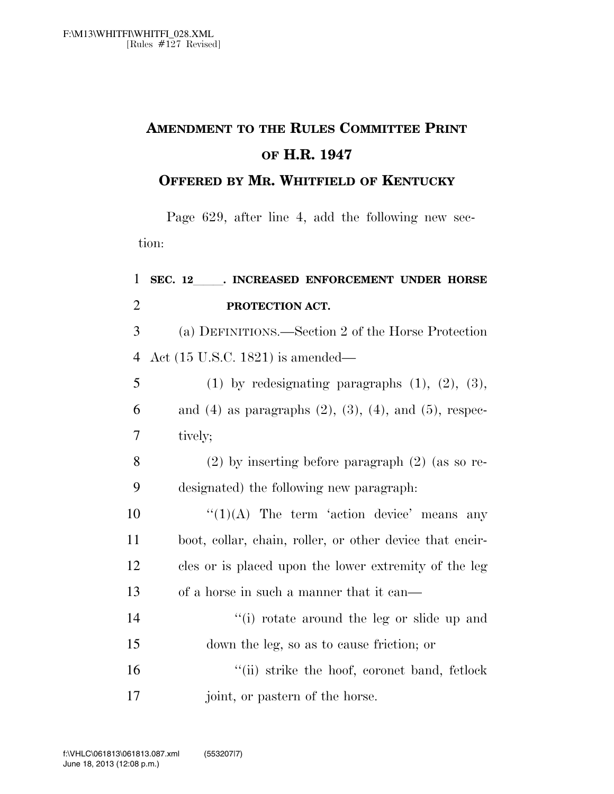## **AMENDMENT TO THE RULES COMMITTEE PRINT OF H.R. 1947**

## **OFFERED BY MR. WHITFIELD OF KENTUCKY**

Page 629, after line 4, add the following new section:

## <sup>1</sup> **SEC. 12**lll**. INCREASED ENFORCEMENT UNDER HORSE**  2 **PROTECTION ACT.**

3 (a) DEFINITIONS.—Section 2 of the Horse Protection 4 Act (15 U.S.C. 1821) is amended—

5 (1) by redesignating paragraphs  $(1)$ ,  $(2)$ ,  $(3)$ , 6 and (4) as paragraphs  $(2)$ ,  $(3)$ ,  $(4)$ , and  $(5)$ , respec-7 tively;

8 (2) by inserting before paragraph (2) (as so re-9 designated) the following new paragraph:

 $\frac{1}{2}(1)(A)$  The term 'action device' means any boot, collar, chain, roller, or other device that encir- cles or is placed upon the lower extremity of the leg of a horse in such a manner that it can—

14 ''(i) rotate around the leg or slide up and 15 down the leg, so as to cause friction; or

16 "(ii) strike the hoof, coronet band, fetlock 17 joint, or pastern of the horse.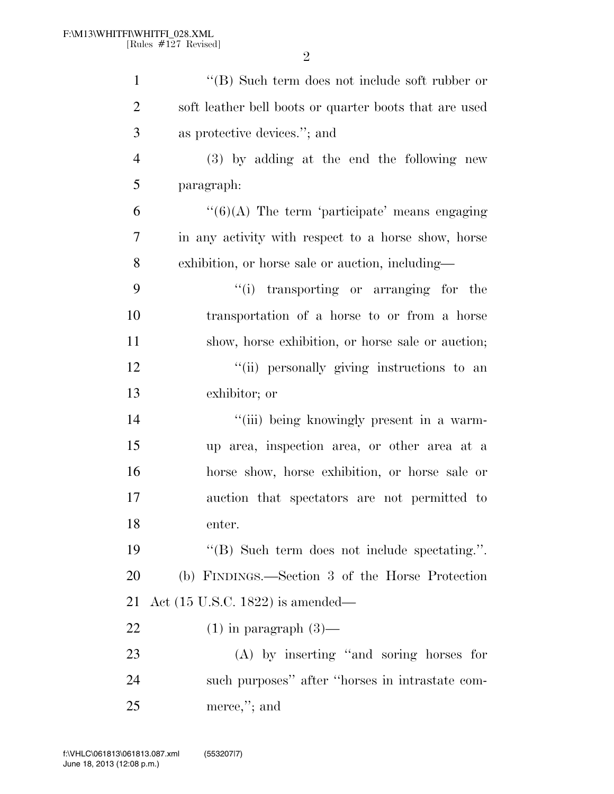| $\mathbf{1}$   | "(B) Such term does not include soft rubber or         |
|----------------|--------------------------------------------------------|
| $\overline{2}$ | soft leather bell boots or quarter boots that are used |
| 3              | as protective devices."; and                           |
| $\overline{4}$ | (3) by adding at the end the following new             |
| 5              | paragraph:                                             |
| 6              | $\lq(6)(A)$ The term 'participate' means engaging      |
| 7              | in any activity with respect to a horse show, horse    |
| 8              | exhibition, or horse sale or auction, including—       |
| 9              | "(i) transporting or arranging for the                 |
| 10             | transportation of a horse to or from a horse           |
| 11             | show, horse exhibition, or horse sale or auction;      |
| 12             | "(ii) personally giving instructions to an             |
| 13             | exhibitor; or                                          |
| 14             | "(iii) being knowingly present in a warm-              |
| 15             | up area, inspection area, or other area at a           |
| 16             | horse show, horse exhibition, or horse sale or         |
| 17             | auction that spectators are not permitted to           |
| 18             | enter.                                                 |
| 19             | "(B) Such term does not include spectating.".          |
| 20             | (b) FINDINGS.—Section 3 of the Horse Protection        |
| 21             | Act $(15 \text{ U.S.C. } 1822)$ is amended—            |
| 22             | $(1)$ in paragraph $(3)$ —                             |
| 23             | $(A)$ by inserting "and soring horses for              |
| 24             | such purposes" after "horses in intrastate com-        |
| 25             | merce,"; and                                           |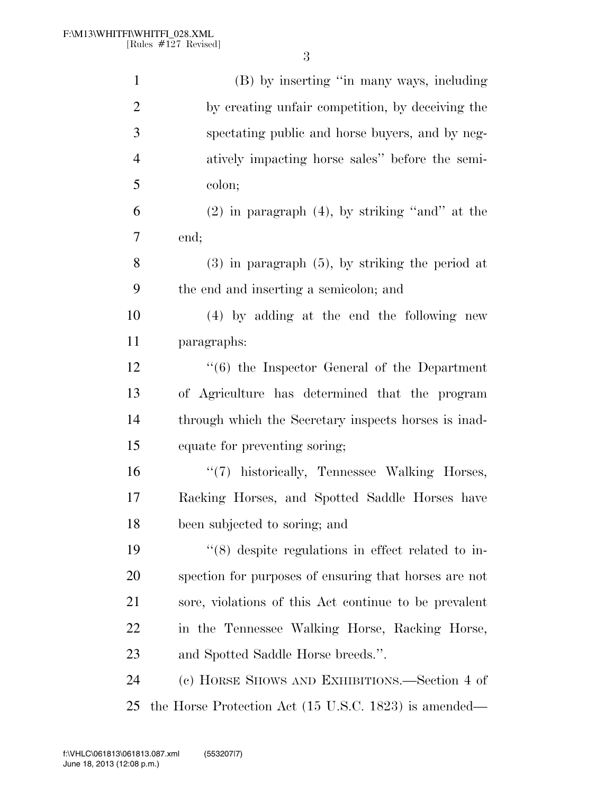| $\mathbf{1}$   | (B) by inserting "in many ways, including                        |
|----------------|------------------------------------------------------------------|
| $\overline{2}$ | by creating unfair competition, by deceiving the                 |
| 3              | spectating public and horse buyers, and by neg-                  |
| $\overline{4}$ | atively impacting horse sales" before the semi-                  |
| 5              | colon;                                                           |
| 6              | $(2)$ in paragraph $(4)$ , by striking "and" at the              |
| 7              | end;                                                             |
| 8              | $(3)$ in paragraph $(5)$ , by striking the period at             |
| 9              | the end and inserting a semicolon; and                           |
| 10             | (4) by adding at the end the following new                       |
| 11             | paragraphs:                                                      |
| 12             | $\cdot$ (6) the Inspector General of the Department              |
| 13             | of Agriculture has determined that the program                   |
| 14             | through which the Secretary inspects horses is inad-             |
| 15             | equate for preventing soring;                                    |
| 16             | "(7) historically, Tennessee Walking Horses,                     |
| 17             | Racking Horses, and Spotted Saddle Horses have                   |
| 18             | been subjected to soring; and                                    |
| 19             | $\cdot$ (8) despite regulations in effect related to in-         |
| 20             | spection for purposes of ensuring that horses are not            |
| 21             | sore, violations of this Act continue to be prevalent            |
| 22             | in the Tennessee Walking Horse, Racking Horse,                   |
| 23             | and Spotted Saddle Horse breeds.".                               |
| 24             | (c) HORSE SHOWS AND EXHIBITIONS.—Section 4 of                    |
| 25             | the Horse Protection Act $(15 \text{ U.S.C. } 1823)$ is amended— |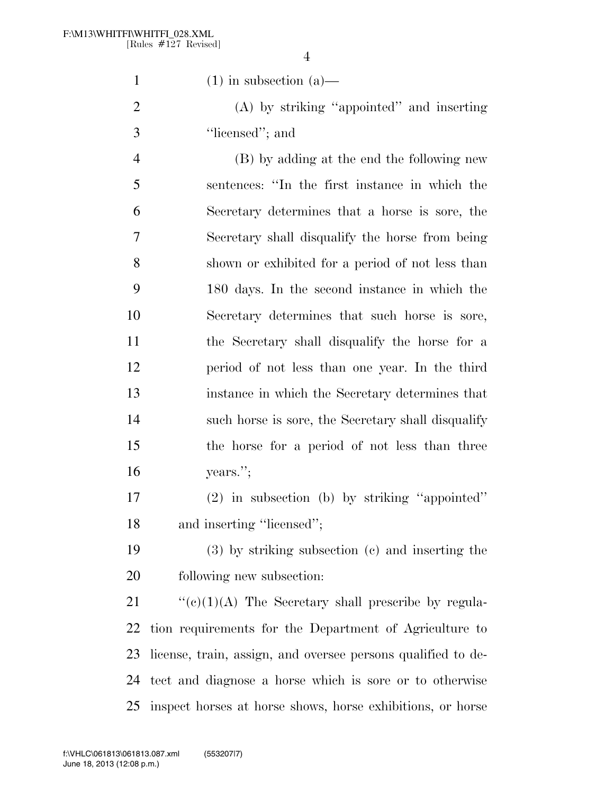1 (1) in subsection (a)—

 (A) by striking ''appointed'' and inserting 3 ''icensed''; and

 (B) by adding at the end the following new sentences: ''In the first instance in which the Secretary determines that a horse is sore, the Secretary shall disqualify the horse from being shown or exhibited for a period of not less than 180 days. In the second instance in which the Secretary determines that such horse is sore, the Secretary shall disqualify the horse for a period of not less than one year. In the third instance in which the Secretary determines that such horse is sore, the Secretary shall disqualify the horse for a period of not less than three years.'';

 (2) in subsection (b) by striking ''appointed'' 18 and inserting "licensed";

 (3) by striking subsection (c) and inserting the following new subsection:

 $\lq(0)(1)(A)$  The Secretary shall prescribe by regula- tion requirements for the Department of Agriculture to license, train, assign, and oversee persons qualified to de- tect and diagnose a horse which is sore or to otherwise inspect horses at horse shows, horse exhibitions, or horse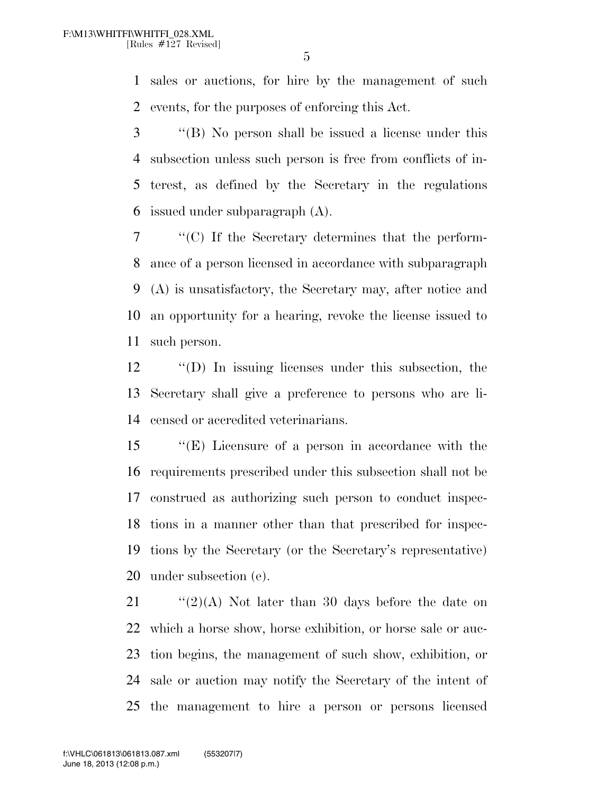sales or auctions, for hire by the management of such events, for the purposes of enforcing this Act.

 ''(B) No person shall be issued a license under this subsection unless such person is free from conflicts of in- terest, as defined by the Secretary in the regulations issued under subparagraph (A).

 ''(C) If the Secretary determines that the perform- ance of a person licensed in accordance with subparagraph (A) is unsatisfactory, the Secretary may, after notice and an opportunity for a hearing, revoke the license issued to such person.

 ''(D) In issuing licenses under this subsection, the Secretary shall give a preference to persons who are li-censed or accredited veterinarians.

 ''(E) Licensure of a person in accordance with the requirements prescribed under this subsection shall not be construed as authorizing such person to conduct inspec- tions in a manner other than that prescribed for inspec- tions by the Secretary (or the Secretary's representative) under subsection (e).

 $\frac{1}{2}(2)(A)$  Not later than 30 days before the date on which a horse show, horse exhibition, or horse sale or auc- tion begins, the management of such show, exhibition, or sale or auction may notify the Secretary of the intent of the management to hire a person or persons licensed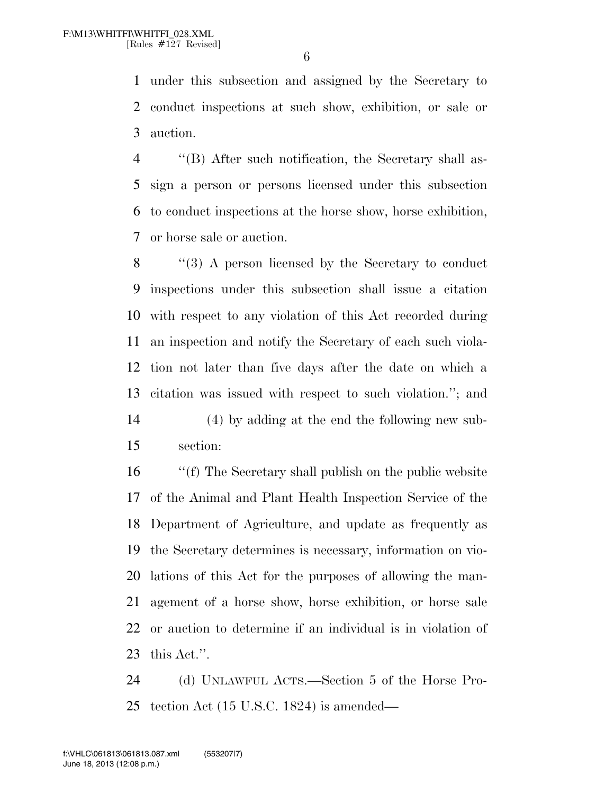under this subsection and assigned by the Secretary to conduct inspections at such show, exhibition, or sale or auction.

 ''(B) After such notification, the Secretary shall as- sign a person or persons licensed under this subsection to conduct inspections at the horse show, horse exhibition, or horse sale or auction.

8 "(3) A person licensed by the Secretary to conduct inspections under this subsection shall issue a citation with respect to any violation of this Act recorded during an inspection and notify the Secretary of each such viola- tion not later than five days after the date on which a citation was issued with respect to such violation.''; and (4) by adding at the end the following new sub-

section:

 ''(f) The Secretary shall publish on the public website of the Animal and Plant Health Inspection Service of the Department of Agriculture, and update as frequently as the Secretary determines is necessary, information on vio- lations of this Act for the purposes of allowing the man- agement of a horse show, horse exhibition, or horse sale or auction to determine if an individual is in violation of this Act.''.

 (d) UNLAWFUL ACTS.—Section 5 of the Horse Pro-tection Act (15 U.S.C. 1824) is amended—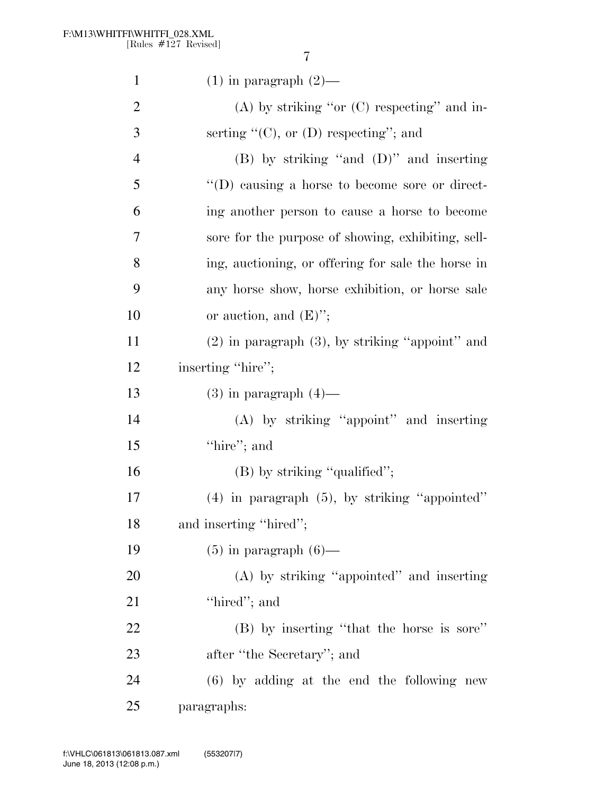| $\mathbf{1}$   | $(1)$ in paragraph $(2)$ —                             |
|----------------|--------------------------------------------------------|
| $\overline{2}$ | (A) by striking "or $(C)$ respecting" and in-          |
| 3              | serting $\lq\lq$ (C), or (D) respecting"; and          |
| 4              | $(B)$ by striking "and $(D)$ " and inserting           |
| 5              | $\lq\lq$ (D) causing a horse to become sore or direct- |
| 6              | ing another person to cause a horse to become          |
| 7              | sore for the purpose of showing, exhibiting, sell-     |
| 8              | ing, auctioning, or offering for sale the horse in     |
| 9              | any horse show, horse exhibition, or horse sale        |
| 10             | or auction, and $(E)$ ";                               |
| 11             | $(2)$ in paragraph $(3)$ , by striking "appoint" and   |
| 12             | inserting "hire";                                      |
| 13             | $(3)$ in paragraph $(4)$ —                             |
| 14             | (A) by striking "appoint" and inserting                |
| 15             | "hire"; and                                            |
| 16             | $(B)$ by striking "qualified";                         |
| 17             | $(4)$ in paragraph $(5)$ , by striking "appointed"     |
| 18             | and inserting "hired";                                 |
| 19             | $(5)$ in paragraph $(6)$ —                             |
| 20             | (A) by striking "appointed" and inserting              |
| 21             | "hired"; and                                           |
| 22             | (B) by inserting "that the horse is sore"              |
| 23             | after "the Secretary"; and                             |
| 24             | $(6)$ by adding at the end the following new           |
| 25             | paragraphs:                                            |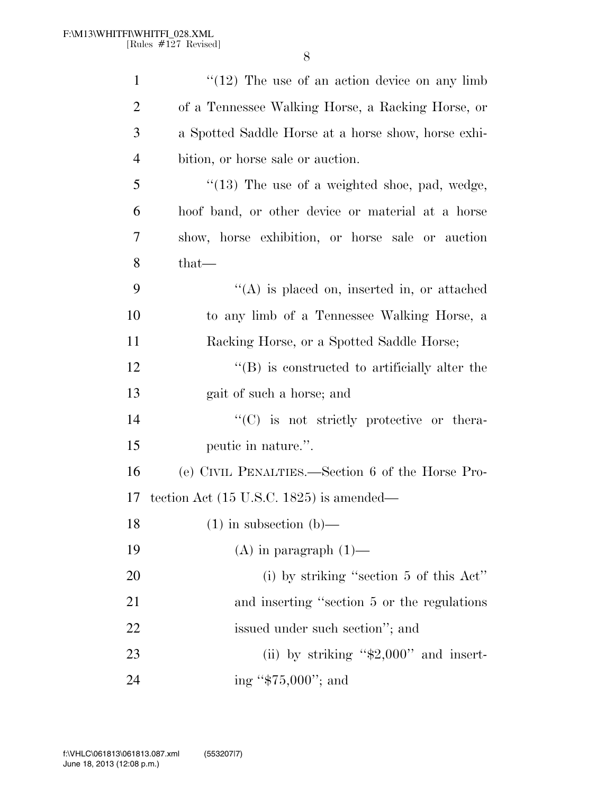| $\mathbf{1}$   | $\degree$ (12) The use of an action device on any limb |
|----------------|--------------------------------------------------------|
| $\overline{2}$ | of a Tennessee Walking Horse, a Racking Horse, or      |
| 3              | a Spotted Saddle Horse at a horse show, horse exhi-    |
| $\overline{4}$ | bition, or horse sale or auction.                      |
| 5              | $\lq(13)$ The use of a weighted shoe, pad, wedge,      |
| 6              | hoof band, or other device or material at a horse      |
| 7              | show, horse exhibition, or horse sale or auction       |
| 8              | $that-$                                                |
| 9              | $\lq\lq$ is placed on, inserted in, or attached        |
| 10             | to any limb of a Tennessee Walking Horse, a            |
| 11             | Racking Horse, or a Spotted Saddle Horse;              |
| 12             | $\lq\lq$ is constructed to artificially alter the      |
| 13             | gait of such a horse; and                              |
| 14             | $\lq\lq$ (C) is not strictly protective or the ra-     |
| 15             | peutic in nature.".                                    |
| 16             | (e) CIVIL PENALTIES.—Section 6 of the Horse Pro-       |
| 17             | tection Act $(15 \text{ U.S.C. } 1825)$ is amended—    |
| 18             | $(1)$ in subsection $(b)$ —                            |
| 19             | $(A)$ in paragraph $(1)$ —                             |
| <b>20</b>      | (i) by striking "section $5$ of this Act"              |
| 21             | and inserting "section 5 or the regulations"           |
| 22             | issued under such section"; and                        |
| 23             | (ii) by striking " $$2,000"$ and insert-               |
| 24             | ing " $$75,000$ "; and                                 |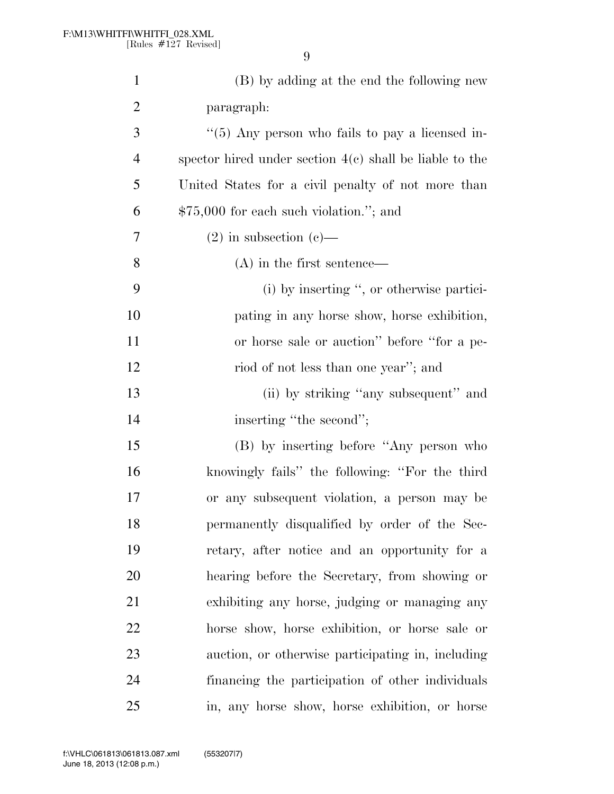| $\mathbf{1}$   | (B) by adding at the end the following new                  |
|----------------|-------------------------------------------------------------|
| $\overline{2}$ | paragraph:                                                  |
| 3              | $\cdot\cdot$ (5) Any person who fails to pay a licensed in- |
| $\overline{4}$ | spector hired under section $4(e)$ shall be liable to the   |
| 5              | United States for a civil penalty of not more than          |
| 6              | $$75,000$ for each such violation."; and                    |
| 7              | $(2)$ in subsection $(e)$ —                                 |
| 8              | $(A)$ in the first sentence—                                |
| 9              | $(i)$ by inserting ", or otherwise partici-                 |
| 10             | pating in any horse show, horse exhibition,                 |
| 11             | or horse sale or auction" before "for a pe-                 |
| 12             | riod of not less than one year"; and                        |
| 13             | (ii) by striking "any subsequent" and                       |
| 14             | inserting "the second";                                     |
| 15             | (B) by inserting before "Any person who                     |
| 16             | knowingly fails" the following: "For the third              |
| 17             | or any subsequent violation, a person may be                |
| 18             | permanently disqualified by order of the Sec-               |
| 19             | retary, after notice and an opportunity for a               |
| 20             | hearing before the Secretary, from showing or               |
| 21             | exhibiting any horse, judging or managing any               |
| 22             | horse show, horse exhibition, or horse sale or              |
| 23             | auction, or otherwise participating in, including           |
| 24             | financing the participation of other individuals            |
| 25             | in, any horse show, horse exhibition, or horse              |